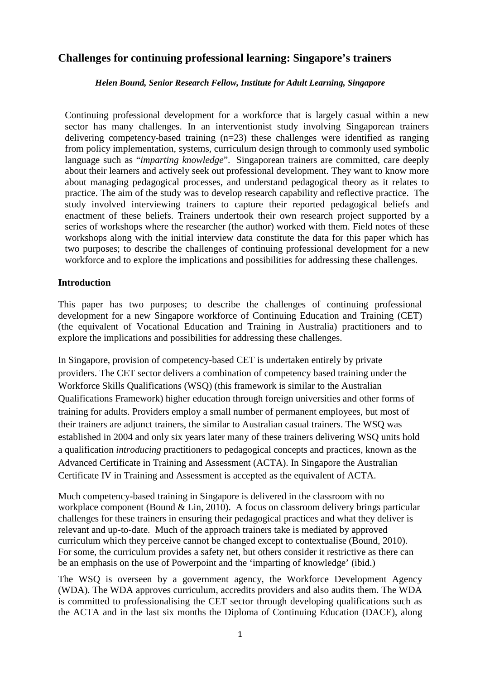# **Challenges for continuing professional learning: Singapore's trainers**

#### *Helen Bound, Senior Research Fellow, Institute for Adult Learning, Singapore*

Continuing professional development for a workforce that is largely casual within a new sector has many challenges. In an interventionist study involving Singaporean trainers delivering competency-based training  $(n=23)$  these challenges were identified as ranging from policy implementation, systems, curriculum design through to commonly used symbolic language such as "*imparting knowledge*". Singaporean trainers are committed, care deeply about their learners and actively seek out professional development. They want to know more about managing pedagogical processes, and understand pedagogical theory as it relates to practice. The aim of the study was to develop research capability and reflective practice. The study involved interviewing trainers to capture their reported pedagogical beliefs and enactment of these beliefs. Trainers undertook their own research project supported by a series of workshops where the researcher (the author) worked with them. Field notes of these workshops along with the initial interview data constitute the data for this paper which has two purposes; to describe the challenges of continuing professional development for a new workforce and to explore the implications and possibilities for addressing these challenges.

#### **Introduction**

This paper has two purposes; to describe the challenges of continuing professional development for a new Singapore workforce of Continuing Education and Training (CET) (the equivalent of Vocational Education and Training in Australia) practitioners and to explore the implications and possibilities for addressing these challenges.

In Singapore, provision of competency-based CET is undertaken entirely by private providers. The CET sector delivers a combination of competency based training under the Workforce Skills Qualifications (WSQ) (this framework is similar to the Australian Qualifications Framework) higher education through foreign universities and other forms of training for adults. Providers employ a small number of permanent employees, but most of their trainers are adjunct trainers, the similar to Australian casual trainers. The WSQ was established in 2004 and only six years later many of these trainers delivering WSQ units hold a qualification *introducing* practitioners to pedagogical concepts and practices, known as the Advanced Certificate in Training and Assessment (ACTA). In Singapore the Australian Certificate IV in Training and Assessment is accepted as the equivalent of ACTA.

Much competency-based training in Singapore is delivered in the classroom with no workplace component (Bound & Lin, 2010). A focus on classroom delivery brings particular challenges for these trainers in ensuring their pedagogical practices and what they deliver is relevant and up-to-date. Much of the approach trainers take is mediated by approved curriculum which they perceive cannot be changed except to contextualise (Bound, 2010). For some, the curriculum provides a safety net, but others consider it restrictive as there can be an emphasis on the use of Powerpoint and the 'imparting of knowledge' (ibid.)

The WSQ is overseen by a government agency, the Workforce Development Agency (WDA). The WDA approves curriculum, accredits providers and also audits them. The WDA is committed to professionalising the CET sector through developing qualifications such as the ACTA and in the last six months the Diploma of Continuing Education (DACE), along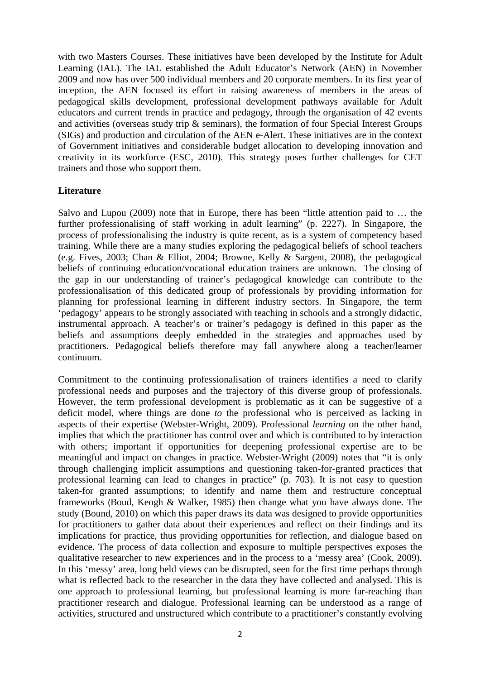with two Masters Courses. These initiatives have been developed by the Institute for Adult Learning (IAL). The IAL established the Adult Educator's Network (AEN) in November 2009 and now has over 500 individual members and 20 corporate members. In its first year of inception, the AEN focused its effort in raising awareness of members in the areas of pedagogical skills development, professional development pathways available for Adult educators and current trends in practice and pedagogy, through the organisation of 42 events and activities (overseas study trip & seminars), the formation of four Special Interest Groups (SIGs) and production and circulation of the AEN e-Alert. These initiatives are in the context of Government initiatives and considerable budget allocation to developing innovation and creativity in its workforce (ESC, 2010). This strategy poses further challenges for CET trainers and those who support them.

### **Literature**

Salvo and Lupou (2009) note that in Europe, there has been "little attention paid to … the further professionalising of staff working in adult learning" (p. 2227). In Singapore, the process of professionalising the industry is quite recent, as is a system of competency based training. While there are a many studies exploring the pedagogical beliefs of school teachers (e.g. Fives, 2003; Chan & Elliot, 2004; Browne, Kelly & Sargent, 2008), the pedagogical beliefs of continuing education/vocational education trainers are unknown. The closing of the gap in our understanding of trainer's pedagogical knowledge can contribute to the professionalisation of this dedicated group of professionals by providing information for planning for professional learning in different industry sectors. In Singapore, the term 'pedagogy' appears to be strongly associated with teaching in schools and a strongly didactic, instrumental approach. A teacher's or trainer's pedagogy is defined in this paper as the beliefs and assumptions deeply embedded in the strategies and approaches used by practitioners. Pedagogical beliefs therefore may fall anywhere along a teacher/learner continuum.

Commitment to the continuing professionalisation of trainers identifies a need to clarify professional needs and purposes and the trajectory of this diverse group of professionals. However, the term professional development is problematic as it can be suggestive of a deficit model, where things are done *to* the professional who is perceived as lacking in aspects of their expertise (Webster-Wright, 2009). Professional *learning* on the other hand, implies that which the practitioner has control over and which is contributed to by interaction with others; important if opportunities for deepening professional expertise are to be meaningful and impact on changes in practice. Webster-Wright (2009) notes that "it is only through challenging implicit assumptions and questioning taken-for-granted practices that professional learning can lead to changes in practice" (p. 703). It is not easy to question taken-for granted assumptions; to identify and name them and restructure conceptual frameworks (Boud, Keogh & Walker, 1985) then change what you have always done. The study (Bound, 2010) on which this paper draws its data was designed to provide opportunities for practitioners to gather data about their experiences and reflect on their findings and its implications for practice, thus providing opportunities for reflection, and dialogue based on evidence. The process of data collection and exposure to multiple perspectives exposes the qualitative researcher to new experiences and in the process to a 'messy area' (Cook, 2009). In this 'messy' area, long held views can be disrupted, seen for the first time perhaps through what is reflected back to the researcher in the data they have collected and analysed. This is one approach to professional learning, but professional learning is more far-reaching than practitioner research and dialogue. Professional learning can be understood as a range of activities, structured and unstructured which contribute to a practitioner's constantly evolving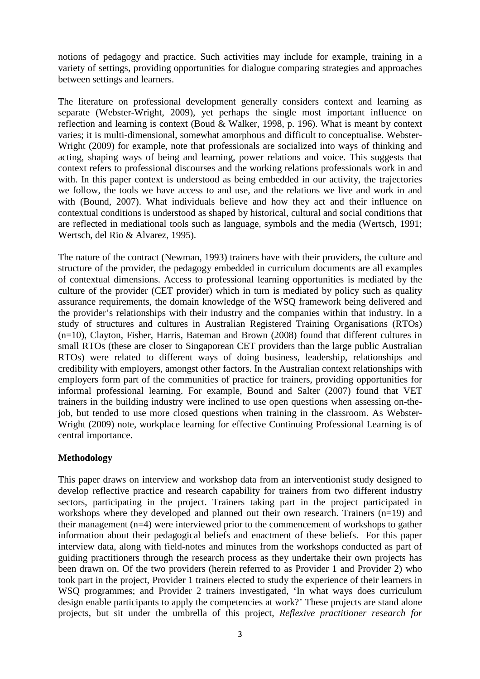notions of pedagogy and practice. Such activities may include for example, training in a variety of settings, providing opportunities for dialogue comparing strategies and approaches between settings and learners.

The literature on professional development generally considers context and learning as separate (Webster-Wright, 2009), yet perhaps the single most important influence on reflection and learning is context (Boud & Walker, 1998, p. 196). What is meant by context varies; it is multi-dimensional, somewhat amorphous and difficult to conceptualise. Webster-Wright (2009) for example, note that professionals are socialized into ways of thinking and acting, shaping ways of being and learning, power relations and voice. This suggests that context refers to professional discourses and the working relations professionals work in and with. In this paper context is understood as being embedded in our activity, the trajectories we follow, the tools we have access to and use, and the relations we live and work in and with (Bound, 2007). What individuals believe and how they act and their influence on contextual conditions is understood as shaped by historical, cultural and social conditions that are reflected in mediational tools such as language, symbols and the media (Wertsch, 1991; Wertsch, del Rio & Alvarez, 1995).

The nature of the contract (Newman, 1993) trainers have with their providers, the culture and structure of the provider, the pedagogy embedded in curriculum documents are all examples of contextual dimensions. Access to professional learning opportunities is mediated by the culture of the provider (CET provider) which in turn is mediated by policy such as quality assurance requirements, the domain knowledge of the WSQ framework being delivered and the provider's relationships with their industry and the companies within that industry. In a study of structures and cultures in Australian Registered Training Organisations (RTOs) (n=10), Clayton, Fisher, Harris, Bateman and Brown (2008) found that different cultures in small RTOs (these are closer to Singaporean CET providers than the large public Australian RTOs) were related to different ways of doing business, leadership, relationships and credibility with employers, amongst other factors. In the Australian context relationships with employers form part of the communities of practice for trainers, providing opportunities for informal professional learning. For example, Bound and Salter (2007) found that VET trainers in the building industry were inclined to use open questions when assessing on-thejob, but tended to use more closed questions when training in the classroom. As Webster-Wright (2009) note, workplace learning for effective Continuing Professional Learning is of central importance.

### **Methodology**

This paper draws on interview and workshop data from an interventionist study designed to develop reflective practice and research capability for trainers from two different industry sectors, participating in the project. Trainers taking part in the project participated in workshops where they developed and planned out their own research. Trainers (n=19) and their management (n=4) were interviewed prior to the commencement of workshops to gather information about their pedagogical beliefs and enactment of these beliefs. For this paper interview data, along with field-notes and minutes from the workshops conducted as part of guiding practitioners through the research process as they undertake their own projects has been drawn on. Of the two providers (herein referred to as Provider 1 and Provider 2) who took part in the project, Provider 1 trainers elected to study the experience of their learners in WSQ programmes; and Provider 2 trainers investigated, 'In what ways does curriculum design enable participants to apply the competencies at work?' These projects are stand alone projects, but sit under the umbrella of this project, *Reflexive practitioner research for*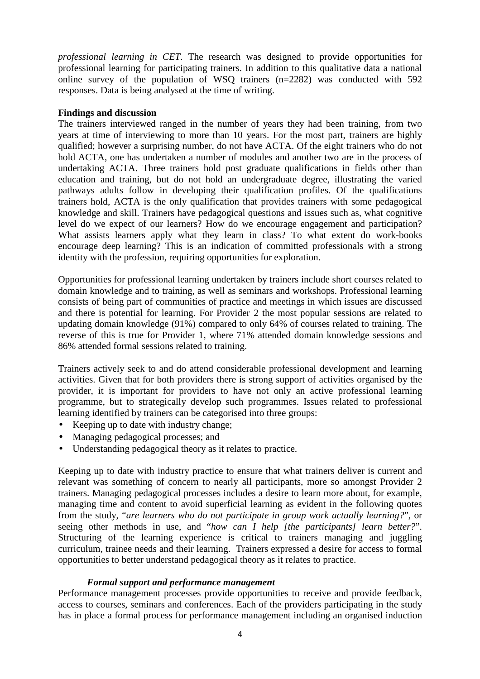*professional learning in CET*. The research was designed to provide opportunities for professional learning for participating trainers. In addition to this qualitative data a national online survey of the population of WSQ trainers (n=2282) was conducted with 592 responses. Data is being analysed at the time of writing.

#### **Findings and discussion**

The trainers interviewed ranged in the number of years they had been training, from two years at time of interviewing to more than 10 years. For the most part, trainers are highly qualified; however a surprising number, do not have ACTA. Of the eight trainers who do not hold ACTA, one has undertaken a number of modules and another two are in the process of undertaking ACTA. Three trainers hold post graduate qualifications in fields other than education and training, but do not hold an undergraduate degree, illustrating the varied pathways adults follow in developing their qualification profiles. Of the qualifications trainers hold, ACTA is the only qualification that provides trainers with some pedagogical knowledge and skill. Trainers have pedagogical questions and issues such as, what cognitive level do we expect of our learners? How do we encourage engagement and participation? What assists learners apply what they learn in class? To what extent do work-books encourage deep learning? This is an indication of committed professionals with a strong identity with the profession, requiring opportunities for exploration.

Opportunities for professional learning undertaken by trainers include short courses related to domain knowledge and to training, as well as seminars and workshops. Professional learning consists of being part of communities of practice and meetings in which issues are discussed and there is potential for learning. For Provider 2 the most popular sessions are related to updating domain knowledge (91%) compared to only 64% of courses related to training. The reverse of this is true for Provider 1, where 71% attended domain knowledge sessions and 86% attended formal sessions related to training.

Trainers actively seek to and do attend considerable professional development and learning activities. Given that for both providers there is strong support of activities organised by the provider, it is important for providers to have not only an active professional learning programme, but to strategically develop such programmes. Issues related to professional learning identified by trainers can be categorised into three groups:

- Keeping up to date with industry change;
- Managing pedagogical processes; and
- Understanding pedagogical theory as it relates to practice.

Keeping up to date with industry practice to ensure that what trainers deliver is current and relevant was something of concern to nearly all participants, more so amongst Provider 2 trainers. Managing pedagogical processes includes a desire to learn more about, for example, managing time and content to avoid superficial learning as evident in the following quotes from the study, "*are learners who do not participate in group work actually learning?*", or seeing other methods in use, and "*how can I help [the participants] learn better?*". Structuring of the learning experience is critical to trainers managing and juggling curriculum, trainee needs and their learning. Trainers expressed a desire for access to formal opportunities to better understand pedagogical theory as it relates to practice.

### *Formal support and performance management*

Performance management processes provide opportunities to receive and provide feedback, access to courses, seminars and conferences. Each of the providers participating in the study has in place a formal process for performance management including an organised induction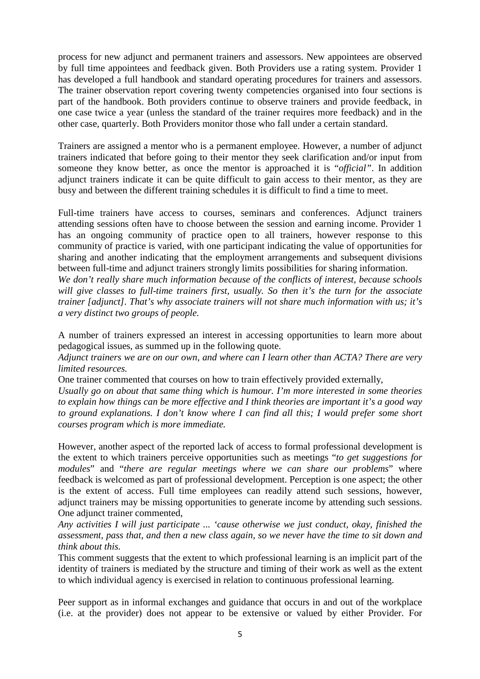process for new adjunct and permanent trainers and assessors. New appointees are observed by full time appointees and feedback given. Both Providers use a rating system. Provider 1 has developed a full handbook and standard operating procedures for trainers and assessors. The trainer observation report covering twenty competencies organised into four sections is part of the handbook. Both providers continue to observe trainers and provide feedback, in one case twice a year (unless the standard of the trainer requires more feedback) and in the other case, quarterly. Both Providers monitor those who fall under a certain standard.

Trainers are assigned a mentor who is a permanent employee. However, a number of adjunct trainers indicated that before going to their mentor they seek clarification and/or input from someone they know better, as once the mentor is approached it is "*official"*. In addition adjunct trainers indicate it can be quite difficult to gain access to their mentor, as they are busy and between the different training schedules it is difficult to find a time to meet.

Full-time trainers have access to courses, seminars and conferences. Adjunct trainers attending sessions often have to choose between the session and earning income. Provider 1 has an ongoing community of practice open to all trainers, however response to this community of practice is varied, with one participant indicating the value of opportunities for sharing and another indicating that the employment arrangements and subsequent divisions between full-time and adjunct trainers strongly limits possibilities for sharing information.

*We don't really share much information because of the conflicts of interest, because schools will give classes to full-time trainers first, usually. So then it's the turn for the associate trainer [adjunct]. That's why associate trainers will not share much information with us; it's a very distinct two groups of people.* 

A number of trainers expressed an interest in accessing opportunities to learn more about pedagogical issues, as summed up in the following quote.

*Adjunct trainers we are on our own, and where can I learn other than ACTA? There are very limited resources.* 

One trainer commented that courses on how to train effectively provided externally,

*Usually go on about that same thing which is humour. I'm more interested in some theories to explain how things can be more effective and I think theories are important it's a good way to ground explanations. I don't know where I can find all this; I would prefer some short courses program which is more immediate.* 

However, another aspect of the reported lack of access to formal professional development is the extent to which trainers perceive opportunities such as meetings "*to get suggestions for modules*" and "*there are regular meetings where we can share our problems*" where feedback is welcomed as part of professional development. Perception is one aspect; the other is the extent of access. Full time employees can readily attend such sessions, however, adjunct trainers may be missing opportunities to generate income by attending such sessions. One adjunct trainer commented,

*Any activities I will just participate ... 'cause otherwise we just conduct, okay, finished the assessment, pass that, and then a new class again, so we never have the time to sit down and think about this.* 

This comment suggests that the extent to which professional learning is an implicit part of the identity of trainers is mediated by the structure and timing of their work as well as the extent to which individual agency is exercised in relation to continuous professional learning.

Peer support as in informal exchanges and guidance that occurs in and out of the workplace (i.e. at the provider) does not appear to be extensive or valued by either Provider. For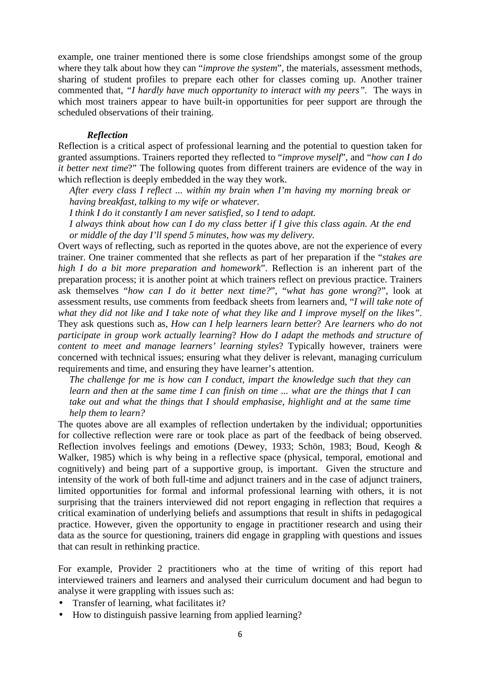example, one trainer mentioned there is some close friendships amongst some of the group where they talk about how they can "*improve the system*", the materials, assessment methods, sharing of student profiles to prepare each other for classes coming up. Another trainer commented that, *"I hardly have much opportunity to interact with my peers".* The ways in which most trainers appear to have built-in opportunities for peer support are through the scheduled observations of their training.

#### *Reflection*

Reflection is a critical aspect of professional learning and the potential to question taken for granted assumptions. Trainers reported they reflected to "*improve myself*", and "*how can I do it better next time*?" The following quotes from different trainers are evidence of the way in which reflection is deeply embedded in the way they work.

*After every class I reflect ... within my brain when I'm having my morning break or having breakfast, talking to my wife or whatever.* 

*I think I do it constantly I am never satisfied, so I tend to adapt.* 

*I always think about how can I do my class better if I give this class again. At the end or middle of the day I'll spend 5 minutes, how was my delivery.* 

Overt ways of reflecting, such as reported in the quotes above, are not the experience of every trainer. One trainer commented that she reflects as part of her preparation if the "*stakes are high I do a bit more preparation and homework*". Reflection is an inherent part of the preparation process; it is another point at which trainers reflect on previous practice. Trainers ask themselves "*how can I do it better next time?*", "*what has gone wrong*?", look at assessment results, use comments from feedback sheets from learners and, "*I will take note of what they did not like and I take note of what they like and I improve myself on the likes".*  They ask questions such as*, How can I help learners learn better*? A*re learners who do not participate in group work actually learning*? *How do I adapt the methods and structure of content to meet and manage learners' learning styles*? Typically however, trainers were concerned with technical issues; ensuring what they deliver is relevant, managing curriculum requirements and time, and ensuring they have learner's attention.

*The challenge for me is how can I conduct, impart the knowledge such that they can learn and then at the same time I can finish on time ... what are the things that I can take out and what the things that I should emphasise, highlight and at the same time help them to learn?* 

The quotes above are all examples of reflection undertaken by the individual; opportunities for collective reflection were rare or took place as part of the feedback of being observed. Reflection involves feelings and emotions (Dewey, 1933; Schön, 1983; Boud, Keogh & Walker, 1985) which is why being in a reflective space (physical, temporal, emotional and cognitively) and being part of a supportive group, is important. Given the structure and intensity of the work of both full-time and adjunct trainers and in the case of adjunct trainers, limited opportunities for formal and informal professional learning with others, it is not surprising that the trainers interviewed did not report engaging in reflection that requires a critical examination of underlying beliefs and assumptions that result in shifts in pedagogical practice. However, given the opportunity to engage in practitioner research and using their data as the source for questioning, trainers did engage in grappling with questions and issues that can result in rethinking practice.

For example, Provider 2 practitioners who at the time of writing of this report had interviewed trainers and learners and analysed their curriculum document and had begun to analyse it were grappling with issues such as:

- Transfer of learning, what facilitates it?
- How to distinguish passive learning from applied learning?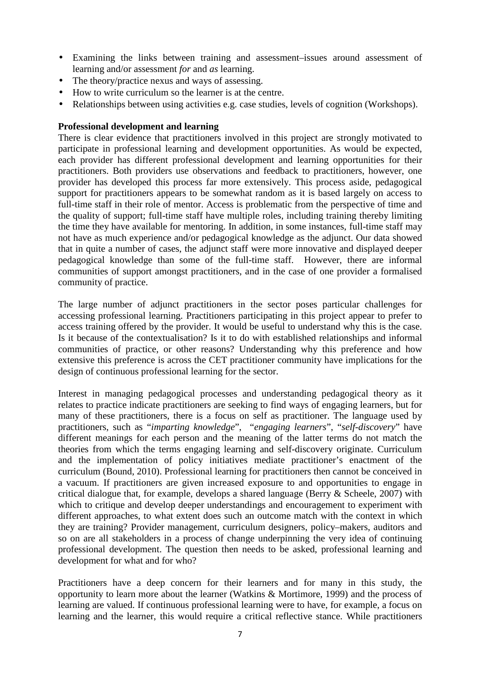- Examining the links between training and assessment–issues around assessment of learning and/or assessment *for* and *as* learning.
- The theory/practice nexus and ways of assessing.
- How to write curriculum so the learner is at the centre.
- Relationships between using activities e.g. case studies, levels of cognition (Workshops).

## **Professional development and learning**

There is clear evidence that practitioners involved in this project are strongly motivated to participate in professional learning and development opportunities. As would be expected, each provider has different professional development and learning opportunities for their practitioners. Both providers use observations and feedback to practitioners, however, one provider has developed this process far more extensively. This process aside, pedagogical support for practitioners appears to be somewhat random as it is based largely on access to full-time staff in their role of mentor. Access is problematic from the perspective of time and the quality of support; full-time staff have multiple roles, including training thereby limiting the time they have available for mentoring. In addition, in some instances, full-time staff may not have as much experience and/or pedagogical knowledge as the adjunct. Our data showed that in quite a number of cases, the adjunct staff were more innovative and displayed deeper pedagogical knowledge than some of the full-time staff. However, there are informal communities of support amongst practitioners, and in the case of one provider a formalised community of practice.

The large number of adjunct practitioners in the sector poses particular challenges for accessing professional learning. Practitioners participating in this project appear to prefer to access training offered by the provider. It would be useful to understand why this is the case. Is it because of the contextualisation? Is it to do with established relationships and informal communities of practice, or other reasons? Understanding why this preference and how extensive this preference is across the CET practitioner community have implications for the design of continuous professional learning for the sector.

Interest in managing pedagogical processes and understanding pedagogical theory as it relates to practice indicate practitioners are seeking to find ways of engaging learners, but for many of these practitioners, there is a focus on self as practitioner. The language used by practitioners, such as "*imparting knowledge*", "*engaging learners*", "*self-discovery*" have different meanings for each person and the meaning of the latter terms do not match the theories from which the terms engaging learning and self-discovery originate. Curriculum and the implementation of policy initiatives mediate practitioner's enactment of the curriculum (Bound, 2010). Professional learning for practitioners then cannot be conceived in a vacuum. If practitioners are given increased exposure to and opportunities to engage in critical dialogue that, for example, develops a shared language (Berry & Scheele, 2007) with which to critique and develop deeper understandings and encouragement to experiment with different approaches, to what extent does such an outcome match with the context in which they are training? Provider management, curriculum designers, policy–makers, auditors and so on are all stakeholders in a process of change underpinning the very idea of continuing professional development. The question then needs to be asked, professional learning and development for what and for who?

Practitioners have a deep concern for their learners and for many in this study, the opportunity to learn more about the learner (Watkins & Mortimore, 1999) and the process of learning are valued. If continuous professional learning were to have, for example, a focus on learning and the learner, this would require a critical reflective stance. While practitioners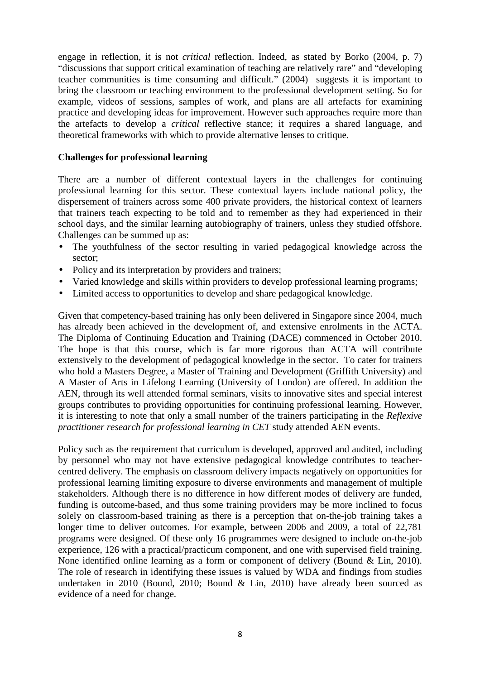engage in reflection, it is not *critical* reflection. Indeed, as stated by Borko (2004, p. 7) "discussions that support critical examination of teaching are relatively rare" and "developing teacher communities is time consuming and difficult." (2004) suggests it is important to bring the classroom or teaching environment to the professional development setting. So for example, videos of sessions, samples of work, and plans are all artefacts for examining practice and developing ideas for improvement. However such approaches require more than the artefacts to develop a *critical* reflective stance; it requires a shared language, and theoretical frameworks with which to provide alternative lenses to critique.

### **Challenges for professional learning**

There are a number of different contextual layers in the challenges for continuing professional learning for this sector. These contextual layers include national policy, the dispersement of trainers across some 400 private providers, the historical context of learners that trainers teach expecting to be told and to remember as they had experienced in their school days, and the similar learning autobiography of trainers, unless they studied offshore. Challenges can be summed up as:

- The youthfulness of the sector resulting in varied pedagogical knowledge across the sector;
- Policy and its interpretation by providers and trainers;
- Varied knowledge and skills within providers to develop professional learning programs;
- Limited access to opportunities to develop and share pedagogical knowledge.

Given that competency-based training has only been delivered in Singapore since 2004, much has already been achieved in the development of, and extensive enrolments in the ACTA. The Diploma of Continuing Education and Training (DACE) commenced in October 2010. The hope is that this course, which is far more rigorous than ACTA will contribute extensively to the development of pedagogical knowledge in the sector. To cater for trainers who hold a Masters Degree, a Master of Training and Development (Griffith University) and A Master of Arts in Lifelong Learning (University of London) are offered. In addition the AEN, through its well attended formal seminars, visits to innovative sites and special interest groups contributes to providing opportunities for continuing professional learning. However, it is interesting to note that only a small number of the trainers participating in the *Reflexive practitioner research for professional learning in CET* study attended AEN events.

Policy such as the requirement that curriculum is developed, approved and audited, including by personnel who may not have extensive pedagogical knowledge contributes to teachercentred delivery. The emphasis on classroom delivery impacts negatively on opportunities for professional learning limiting exposure to diverse environments and management of multiple stakeholders. Although there is no difference in how different modes of delivery are funded, funding is outcome-based, and thus some training providers may be more inclined to focus solely on classroom-based training as there is a perception that on-the-job training takes a longer time to deliver outcomes. For example, between 2006 and 2009, a total of 22,781 programs were designed. Of these only 16 programmes were designed to include on-the-job experience, 126 with a practical/practicum component, and one with supervised field training. None identified online learning as a form or component of delivery (Bound & Lin, 2010). The role of research in identifying these issues is valued by WDA and findings from studies undertaken in 2010 (Bound, 2010; Bound & Lin, 2010) have already been sourced as evidence of a need for change.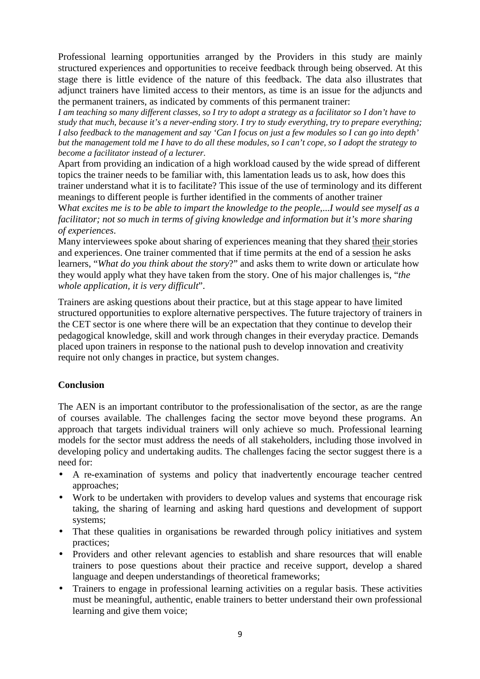Professional learning opportunities arranged by the Providers in this study are mainly structured experiences and opportunities to receive feedback through being observed. At this stage there is little evidence of the nature of this feedback. The data also illustrates that adjunct trainers have limited access to their mentors, as time is an issue for the adjuncts and the permanent trainers, as indicated by comments of this permanent trainer:

*I am teaching so many different classes, so I try to adopt a strategy as a facilitator so I don't have to study that much, because it's a never-ending story. I try to study everything, try to prepare everything; I also feedback to the management and say 'Can I focus on just a few modules so I can go into depth' but the management told me I have to do all these modules, so I can't cope, so I adopt the strategy to become a facilitator instead of a lecturer.* 

Apart from providing an indication of a high workload caused by the wide spread of different topics the trainer needs to be familiar with, this lamentation leads us to ask, how does this trainer understand what it is to facilitate? This issue of the use of terminology and its different meanings to different people is further identified in the comments of another trainer

What excites me is to be able to impart the knowledge to the people,...*I* would see myself as a *facilitator; not so much in terms of giving knowledge and information but it's more sharing of experiences*.

Many interviewees spoke about sharing of experiences meaning that they shared their stories and experiences. One trainer commented that if time permits at the end of a session he asks learners, "*What do you think about the story*?" and asks them to write down or articulate how they would apply what they have taken from the story. One of his major challenges is, "*the whole application, it is very difficult*".

Trainers are asking questions about their practice, but at this stage appear to have limited structured opportunities to explore alternative perspectives. The future trajectory of trainers in the CET sector is one where there will be an expectation that they continue to develop their pedagogical knowledge, skill and work through changes in their everyday practice. Demands placed upon trainers in response to the national push to develop innovation and creativity require not only changes in practice, but system changes.

## **Conclusion**

The AEN is an important contributor to the professionalisation of the sector, as are the range of courses available. The challenges facing the sector move beyond these programs. An approach that targets individual trainers will only achieve so much. Professional learning models for the sector must address the needs of all stakeholders, including those involved in developing policy and undertaking audits. The challenges facing the sector suggest there is a need for:

- A re-examination of systems and policy that inadvertently encourage teacher centred approaches;
- Work to be undertaken with providers to develop values and systems that encourage risk taking, the sharing of learning and asking hard questions and development of support systems;
- That these qualities in organisations be rewarded through policy initiatives and system practices;
- Providers and other relevant agencies to establish and share resources that will enable trainers to pose questions about their practice and receive support, develop a shared language and deepen understandings of theoretical frameworks;
- Trainers to engage in professional learning activities on a regular basis. These activities must be meaningful, authentic, enable trainers to better understand their own professional learning and give them voice;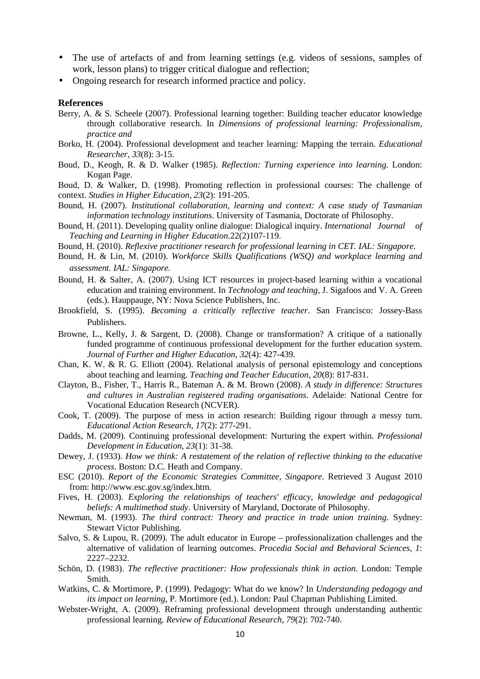- The use of artefacts of and from learning settings (e.g. videos of sessions, samples of work, lesson plans) to trigger critical dialogue and reflection;
- Ongoing research for research informed practice and policy.

#### **References**

- Berry, A. & S. Scheele (2007). Professional learning together: Building teacher educator knowledge through collaborative research. In *Dimensions of professional learning: Professionalism, practice and*
- Borko, H. (2004). Professional development and teacher learning: Mapping the terrain. *Educational Researcher*, *33*(8): 3-15.
- Boud, D., Keogh, R. & D. Walker (1985). *Reflection: Turning experience into learning.* London: Kogan Page.
- Boud, D. & Walker, D. (1998). Promoting reflection in professional courses: The challenge of context. *Studies in Higher Education*, *23*(2): 191-205.
- Bound, H. (2007). *Institutional collaboration, learning and context: A case study of Tasmanian information technology institutions*. University of Tasmania, Doctorate of Philosophy.
- Bound, H. (2011). Developing quality online dialogue: Dialogical inquiry. *International Journal of Teaching and Learning in Higher Education.*22(2)107-119.
- Bound, H. (2010). *Reflexive practitioner research for professional learning in CET. IAL: Singapore.*
- Bound, H. & Lin, M. (2010). *Workforce Skills Qualifications (WSQ) and workplace learning and assessment. IAL: Singapore.*
- Bound, H. & Salter, A. (2007). Using ICT resources in project-based learning within a vocational education and training environment. In *Technology and teaching*, J. Sigafoos and V. A. Green (eds.). Hauppauge, NY: Nova Science Publishers, Inc.
- Brookfield, S. (1995). *Becoming a critically reflective teacher*. San Francisco: Jossey-Bass Publishers.
- Browne, L., Kelly, J. & Sargent, D. (2008). Change or transformation? A critique of a nationally funded programme of continuous professional development for the further education system. *Journal of Further and Higher Education*, *32*(4): 427-439.
- Chan, K. W. & R. G. Elliott (2004). Relational analysis of personal epistemology and conceptions about teaching and learning. *Teaching and Teacher Education*, *20*(8): 817-831.
- Clayton, B., Fisher, T., Harris R., Bateman A. & M. Brown (2008). *A study in difference: Structures and cultures in Australian registered trading organisations*. Adelaide: National Centre for Vocational Education Research (NCVER).
- Cook, T. (2009). The purpose of mess in action research: Building rigour through a messy turn. *Educational Action Research*, *17*(2): 277-291.
- Dadds, M. (2009). Continuing professional development: Nurturing the expert within. *Professional Development in Education*, *23*(1): 31-38.
- Dewey, J. (1933). *How we think: A restatement of the relation of reflective thinking to the educative process*. Boston: D.C. Heath and Company.
- ESC (2010). *Report of the Economic Strategies Committee, Singapore*. Retrieved 3 August 2010 from: http://www.esc.gov.sg/index.htm.
- Fives, H. (2003). *Exploring the relationships of teachers' efficacy, knowledge and pedagogical beliefs: A multimethod study*. University of Maryland, Doctorate of Philosophy.
- Newman, M. (1993). *The third contract: Theory and practice in trade union training*. Sydney: Stewart Victor Publishing.
- Salvo, S. & Lupou, R. (2009). The adult educator in Europe professionalization challenges and the alternative of validation of learning outcomes. *Procedia Social and Behavioral Sciences*, *1*: 2227–2232.
- Schön, D. (1983). *The reflective practitioner: How professionals think in action*. London: Temple Smith.
- Watkins, C. & Mortimore, P. (1999). Pedagogy: What do we know? In *Understanding pedagogy and its impact on learning*, P. Mortimore (ed.). London: Paul Chapman Publishing Limited.
- Webster-Wright, A. (2009). Reframing professional development through understanding authentic professional learning. *Review of Educational Research*, *79*(2): 702-740.